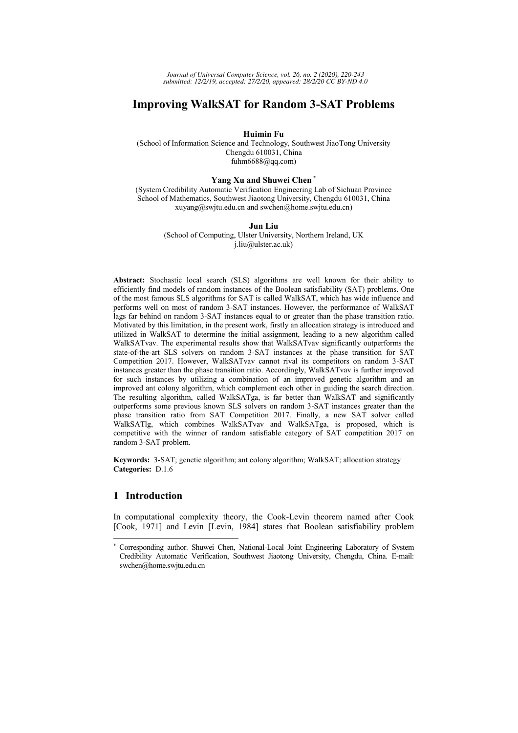# **Improving WalkSAT for Random 3-SAT Problems**

**Huimin Fu** 

(School of Information Science and Technology, Southwest JiaoTong University Chengdu 610031, China fuhm $6688$ @qq.com)

#### **Yang Xu and Shuwei Chen \***

(System Credibility Automatic Verification Engineering Lab of Sichuan Province School of Mathematics, Southwest Jiaotong University, Chengdu 610031, China xuyang@swjtu.edu.cn and swchen@home.swjtu.edu.cn)

#### **Jun Liu**

(School of Computing, Ulster University, Northern Ireland, UK j.liu@ulster.ac.uk)

**Abstract:** Stochastic local search (SLS) algorithms are well known for their ability to efficiently find models of random instances of the Boolean satisfiability (SAT) problems. One of the most famous SLS algorithms for SAT is called WalkSAT, which has wide influence and performs well on most of random 3-SAT instances. However, the performance of WalkSAT lags far behind on random 3-SAT instances equal to or greater than the phase transition ratio. Motivated by this limitation, in the present work, firstly an allocation strategy is introduced and utilized in WalkSAT to determine the initial assignment, leading to a new algorithm called WalkSATvav. The experimental results show that WalkSATvav significantly outperforms the state-of-the-art SLS solvers on random 3-SAT instances at the phase transition for SAT Competition 2017. However, WalkSATvav cannot rival its competitors on random 3-SAT instances greater than the phase transition ratio. Accordingly, WalkSATvav is further improved for such instances by utilizing a combination of an improved genetic algorithm and an improved ant colony algorithm, which complement each other in guiding the search direction. The resulting algorithm, called WalkSATga, is far better than WalkSAT and significantly outperforms some previous known SLS solvers on random 3-SAT instances greater than the phase transition ratio from SAT Competition 2017. Finally, a new SAT solver called WalkSATlg, which combines WalkSATvav and WalkSATga, is proposed, which is competitive with the winner of random satisfiable category of SAT competition 2017 on random 3-SAT problem.

**Keywords:** 3-SAT; genetic algorithm; ant colony algorithm; WalkSAT; allocation strategy **Categories:** D.1.6

# **1 Introduction**

-

In computational complexity theory, the Cook-Levin theorem named after Cook [Cook, 1971] and Levin [Levin, 1984] states that Boolean satisfiability problem

<sup>\*</sup> Corresponding author. Shuwei Chen, National-Local Joint Engineering Laboratory of System Credibility Automatic Verification, Southwest Jiaotong University, Chengdu, China. E-mail: swchen@home.swjtu.edu.cn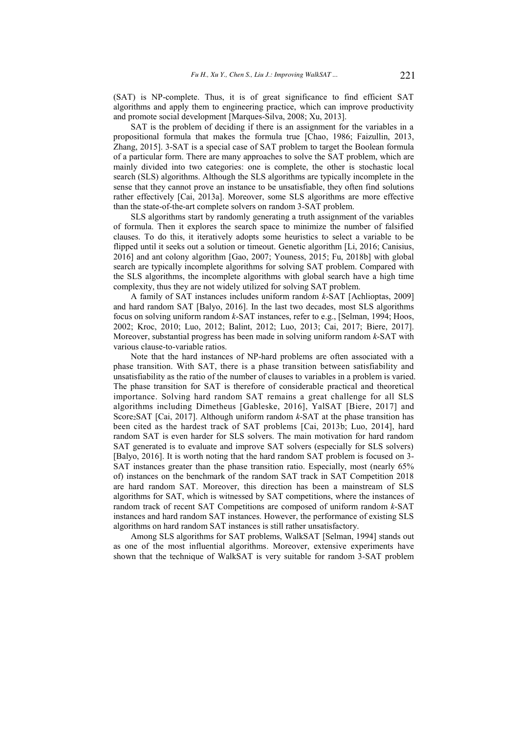(SAT) is NP-complete. Thus, it is of great significance to find efficient SAT algorithms and apply them to engineering practice, which can improve productivity and promote social development [Marques-Silva, 2008; Xu, 2013].

SAT is the problem of deciding if there is an assignment for the variables in a propositional formula that makes the formula true [Chao, 1986; Faizullin, 2013, Zhang, 2015]. 3-SAT is a special case of SAT problem to target the Boolean formula of a particular form. There are many approaches to solve the SAT problem, which are mainly divided into two categories: one is complete, the other is stochastic local search (SLS) algorithms. Although the SLS algorithms are typically incomplete in the sense that they cannot prove an instance to be unsatisfiable, they often find solutions rather effectively [Cai, 2013a]. Moreover, some SLS algorithms are more effective than the state-of-the-art complete solvers on random 3-SAT problem.

SLS algorithms start by randomly generating a truth assignment of the variables of formula. Then it explores the search space to minimize the number of falsified clauses. To do this, it iteratively adopts some heuristics to select a variable to be flipped until it seeks out a solution or timeout. Genetic algorithm [Li, 2016; Canisius, 2016] and ant colony algorithm [Gao, 2007; Youness, 2015; Fu, 2018b] with global search are typically incomplete algorithms for solving SAT problem. Compared with the SLS algorithms, the incomplete algorithms with global search have a high time complexity, thus they are not widely utilized for solving SAT problem.

A family of SAT instances includes uniform random *k*-SAT [Achlioptas, 2009] and hard random SAT [Balyo, 2016]. In the last two decades, most SLS algorithms focus on solving uniform random *k*-SAT instances, refer to e.g., [Selman, 1994; Hoos, 2002; Kroc, 2010; Luo, 2012; Balint, 2012; Luo, 2013; Cai, 2017; Biere, 2017]. Moreover, substantial progress has been made in solving uniform random *k*-SAT with various clause-to-variable ratios.

Note that the hard instances of NP-hard problems are often associated with a phase transition. With SAT, there is a phase transition between satisfiability and unsatisfiability as the ratio of the number of clauses to variables in a problem is varied. The phase transition for SAT is therefore of considerable practical and theoretical importance. Solving hard random SAT remains a great challenge for all SLS algorithms including Dimetheus [Gableske, 2016], YalSAT [Biere, 2017] and Score<sub>2</sub>SAT [Cai, 2017]. Although uniform random *k*-SAT at the phase transition has been cited as the hardest track of SAT problems [Cai, 2013b; Luo, 2014], hard random SAT is even harder for SLS solvers. The main motivation for hard random SAT generated is to evaluate and improve SAT solvers (especially for SLS solvers) [Balyo, 2016]. It is worth noting that the hard random SAT problem is focused on 3- SAT instances greater than the phase transition ratio. Especially, most (nearly 65% of) instances on the benchmark of the random SAT track in SAT Competition 2018 are hard random SAT. Moreover, this direction has been a mainstream of SLS algorithms for SAT, which is witnessed by SAT competitions, where the instances of random track of recent SAT Competitions are composed of uniform random *k*-SAT instances and hard random SAT instances. However, the performance of existing SLS algorithms on hard random SAT instances is still rather unsatisfactory.

Among SLS algorithms for SAT problems, WalkSAT [Selman, 1994] stands out as one of the most influential algorithms. Moreover, extensive experiments have shown that the technique of WalkSAT is very suitable for random 3-SAT problem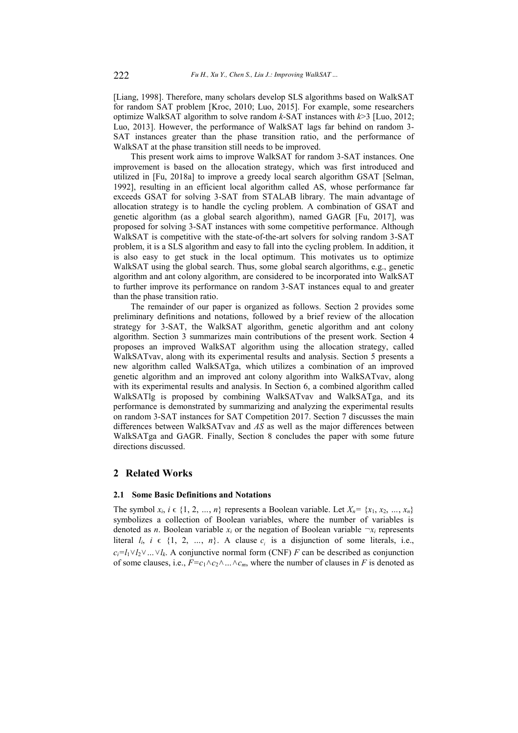[Liang, 1998]. Therefore, many scholars develop SLS algorithms based on WalkSAT for random SAT problem [Kroc, 2010; Luo, 2015]. For example, some researchers optimize WalkSAT algorithm to solve random *k*-SAT instances with *k*>3 [Luo, 2012; Luo, 2013]. However, the performance of WalkSAT lags far behind on random 3- SAT instances greater than the phase transition ratio, and the performance of WalkSAT at the phase transition still needs to be improved.

This present work aims to improve WalkSAT for random 3-SAT instances. One improvement is based on the allocation strategy, which was first introduced and utilized in [Fu, 2018a] to improve a greedy local search algorithm GSAT [Selman, 1992], resulting in an efficient local algorithm called AS, whose performance far exceeds GSAT for solving 3-SAT from STALAB library. The main advantage of allocation strategy is to handle the cycling problem. A combination of GSAT and genetic algorithm (as a global search algorithm), named GAGR [Fu, 2017], was proposed for solving 3-SAT instances with some competitive performance. Although WalkSAT is competitive with the state-of-the-art solvers for solving random 3-SAT problem, it is a SLS algorithm and easy to fall into the cycling problem. In addition, it is also easy to get stuck in the local optimum. This motivates us to optimize WalkSAT using the global search. Thus, some global search algorithms, e.g., genetic algorithm and ant colony algorithm, are considered to be incorporated into WalkSAT to further improve its performance on random 3-SAT instances equal to and greater than the phase transition ratio.

The remainder of our paper is organized as follows. Section 2 provides some preliminary definitions and notations, followed by a brief review of the allocation strategy for 3-SAT, the WalkSAT algorithm, genetic algorithm and ant colony algorithm. Section 3 summarizes main contributions of the present work. Section 4 proposes an improved WalkSAT algorithm using the allocation strategy, called WalkSATvav, along with its experimental results and analysis. Section 5 presents a new algorithm called WalkSATga, which utilizes a combination of an improved genetic algorithm and an improved ant colony algorithm into WalkSATvav, along with its experimental results and analysis. In Section 6, a combined algorithm called WalkSATlg is proposed by combining WalkSATvav and WalkSATga, and its performance is demonstrated by summarizing and analyzing the experimental results on random 3-SAT instances for SAT Competition 2017. Section 7 discusses the main differences between WalkSATvav and *AS* as well as the major differences between WalkSATga and GAGR. Finally, Section 8 concludes the paper with some future directions discussed.

# **2 Related Works**

# **2.1 Some Basic Definitions and Notations**

The symbol  $x_i$ ,  $i \in \{1, 2, ..., n\}$  represents a Boolean variable. Let  $X_n = \{x_1, x_2, ..., x_n\}$ symbolizes a collection of Boolean variables, where the number of variables is denoted as *n*. Boolean variable  $x_i$  or the negation of Boolean variable  $\neg x_i$  represents literal  $l_i$ ,  $i \in \{1, 2, ..., n\}$ . A clause  $c_i$  is a disjunction of some literals, i.e.,  $c_i = l_1 \vee l_2 \vee \dots \vee l_k$ . A conjunctive normal form (CNF) *F* can be described as conjunction of some clauses, i.e.,  $F = c_1 \wedge c_2 \wedge \ldots \wedge c_m$ , where the number of clauses in F is denoted as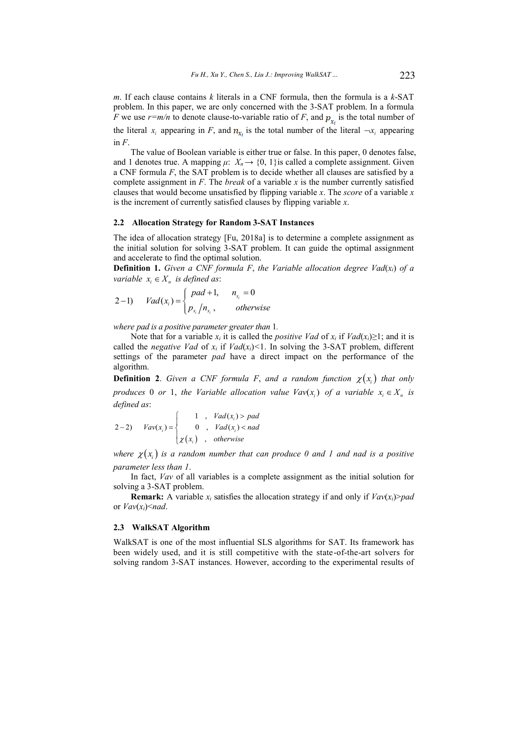*m*. If each clause contains *k* literals in a CNF formula, then the formula is a *k*-SAT problem. In this paper, we are only concerned with the 3-SAT problem. In a formula *F* we use  $r=m/n$  to denote clause-to-variable ratio of *F*, and  $p_{x_i}$  is the total number of the literal  $x_i$  appearing in *F*, and  $n_{x_i}$  is the total number of the literal  $\neg x_i$  appearing in  $F$ .

The value of Boolean variable is either true or false. In this paper, 0 denotes false, and 1 denotes true. A mapping  $\mu: X_n \to \{0, 1\}$  is called a complete assignment. Given a CNF formula *F*, the SAT problem is to decide whether all clauses are satisfied by a complete assignment in *F*. The *break* of a variable *x* is the number currently satisfied clauses that would become unsatisfied by flipping variable *x*. The *score* of a variable *x* is the increment of currently satisfied clauses by flipping variable *x*.

## **2.2 Allocation Strategy for Random 3-SAT Instances**

The idea of allocation strategy [Fu, 2018a] is to determine a complete assignment as the initial solution for solving 3-SAT problem. It can guide the optimal assignment and accelerate to find the optimal solution.

**Definition 1.** *Given a CNF formula F*, *the Variable allocation degree Vad*(*xi*) *of a variable*  $x_i \in X_n$  *is defined as:* 

$$
2-1) \quad Vad(x_i) = \begin{cases} pad+1, & n_{x_i} = 0 \\ p_{x_i}/n_{x_i}, & otherwise \end{cases}
$$

*where pad is a positive parameter greater than* 1*.* 

Note that for a variable  $x_i$  it is called the *positive Vad* of  $x_i$  if  $Vad(x_i) \ge 1$ ; and it is called the *negative Vad* of  $x_i$  if  $Vad(x_i) < 1$ . In solving the 3-SAT problem, different settings of the parameter *pad* have a direct impact on the performance of the algorithm.

**Definition 2.** *Given a CNF formula F, and a random function*  $\chi(x_i)$  *that only produces* 0 *or* 1, the Variable allocation value  $\text{Vav}(x_i)$  of a variable  $x_i \in X_n$  is *defined as*:

$$
2-2) \quad \text{Vav}(x_i) = \begin{cases} 1, & \text{Vad}(x_i) > \text{pad} \\ 0, & \text{Vad}(x_i) < \text{nad} \\ \chi(x_i), & \text{otherwise} \end{cases}
$$

where  $\chi(x_i)$  is a random number that can produce 0 and 1 and nad is a positive *parameter less than 1*.

In fact, *Vav* of all variables is a complete assignment as the initial solution for solving a 3-SAT problem.

**Remark:** A variable  $x_i$  satisfies the allocation strategy if and only if  $\text{Vav}(x_i) > pad$ or *Vav*(*xi*)<*nad*.

#### **2.3 WalkSAT Algorithm**

WalkSAT is one of the most influential SLS algorithms for SAT. Its framework has been widely used, and it is still competitive with the state-of-the-art solvers for solving random 3-SAT instances. However, according to the experimental results of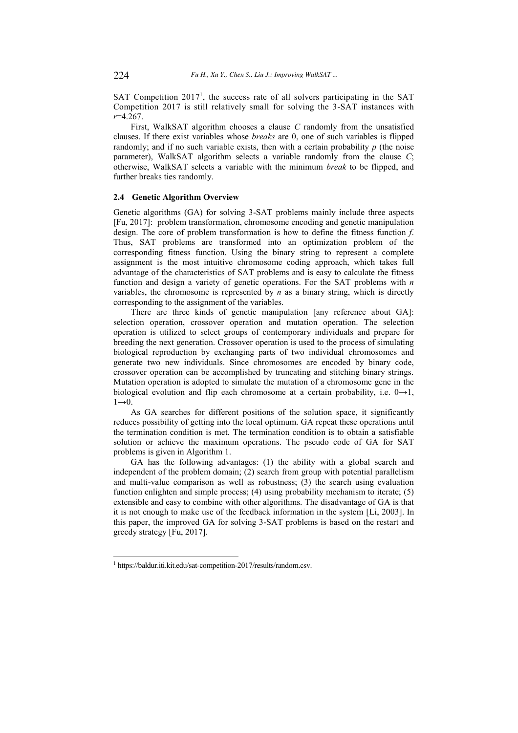SAT Competition 2017<sup>1</sup>, the success rate of all solvers participating in the SAT Competition 2017 is still relatively small for solving the 3-SAT instances with *r*=4.267.

First, WalkSAT algorithm chooses a clause *C* randomly from the unsatisfied clauses. If there exist variables whose *breaks* are 0, one of such variables is flipped randomly; and if no such variable exists, then with a certain probability  $p$  (the noise parameter), WalkSAT algorithm selects a variable randomly from the clause *C*; otherwise, WalkSAT selects a variable with the minimum *break* to be flipped, and further breaks ties randomly.

#### **2.4 Genetic Algorithm Overview**

Genetic algorithms (GA) for solving 3-SAT problems mainly include three aspects [Fu, 2017]: problem transformation, chromosome encoding and genetic manipulation design. The core of problem transformation is how to define the fitness function *f*. Thus, SAT problems are transformed into an optimization problem of the corresponding fitness function. Using the binary string to represent a complete assignment is the most intuitive chromosome coding approach, which takes full advantage of the characteristics of SAT problems and is easy to calculate the fitness function and design a variety of genetic operations. For the SAT problems with *n* variables, the chromosome is represented by *n* as a binary string, which is directly corresponding to the assignment of the variables.

There are three kinds of genetic manipulation [any reference about GA]: selection operation, crossover operation and mutation operation. The selection operation is utilized to select groups of contemporary individuals and prepare for breeding the next generation. Crossover operation is used to the process of simulating biological reproduction by exchanging parts of two individual chromosomes and generate two new individuals. Since chromosomes are encoded by binary code, crossover operation can be accomplished by truncating and stitching binary strings. Mutation operation is adopted to simulate the mutation of a chromosome gene in the biological evolution and flip each chromosome at a certain probability, i.e.  $0 \rightarrow 1$ ,  $1\rightarrow 0$ .

As GA searches for different positions of the solution space, it significantly reduces possibility of getting into the local optimum. GA repeat these operations until the termination condition is met. The termination condition is to obtain a satisfiable solution or achieve the maximum operations. The pseudo code of GA for SAT problems is given in Algorithm 1.

GA has the following advantages: (1) the ability with a global search and independent of the problem domain; (2) search from group with potential parallelism and multi-value comparison as well as robustness; (3) the search using evaluation function enlighten and simple process; (4) using probability mechanism to iterate; (5) extensible and easy to combine with other algorithms. The disadvantage of GA is that it is not enough to make use of the feedback information in the system [Li, 2003]. In this paper, the improved GA for solving 3-SAT problems is based on the restart and greedy strategy [Fu, 2017].

-

<sup>1</sup> https://baldur.iti.kit.edu/sat-competition-2017/results/random.csv.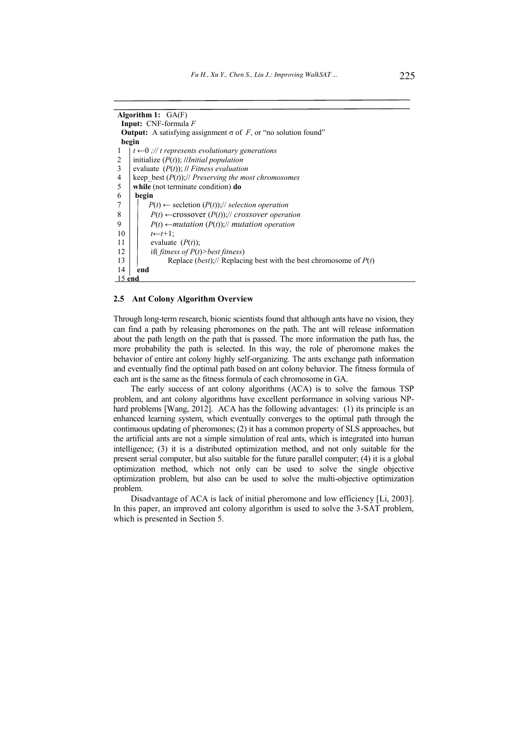| Algorithm 1: $GA(F)$                                                               |  |  |  |  |  |  |  |
|------------------------------------------------------------------------------------|--|--|--|--|--|--|--|
| <b>Input:</b> CNF-formula $F$                                                      |  |  |  |  |  |  |  |
| <b>Output:</b> A satisfying assignment $\sigma$ of F, or "no solution found"       |  |  |  |  |  |  |  |
| begin                                                                              |  |  |  |  |  |  |  |
| $t \leftarrow 0$ ;// t represents evolutionary generations                         |  |  |  |  |  |  |  |
| initialize $(P(t))$ ; //Initial population<br>2                                    |  |  |  |  |  |  |  |
| 3<br>evaluate $(P(t))$ ; // Fitness evaluation                                     |  |  |  |  |  |  |  |
| 4<br>keep best $(P(t))$ ;// Preserving the most chromosomes                        |  |  |  |  |  |  |  |
| 5<br>while (not terminate condition) do                                            |  |  |  |  |  |  |  |
| 6<br>begin                                                                         |  |  |  |  |  |  |  |
| $P(t) \leftarrow$ secletion $(P(t))$ ;// selection operation                       |  |  |  |  |  |  |  |
| 8<br>$P(t) \leftarrow \text{crossover}(P(t))$ ;// crossover operation              |  |  |  |  |  |  |  |
| 9<br>$P(t) \leftarrow$ mutation $(P(t))$ ;// mutation operation                    |  |  |  |  |  |  |  |
| 10<br>$t \leftarrow t+1$ :                                                         |  |  |  |  |  |  |  |
| 11<br>evaluate $(P(t))$ ;                                                          |  |  |  |  |  |  |  |
| 12<br>if( fitness of $P(t)$ >best fitness)                                         |  |  |  |  |  |  |  |
| Replace ( <i>best</i> );// Replacing best with the best chromosome of $P(t)$<br>13 |  |  |  |  |  |  |  |
| 14<br>end                                                                          |  |  |  |  |  |  |  |
| $5$ end                                                                            |  |  |  |  |  |  |  |

#### **2.5 Ant Colony Algorithm Overview**

Through long-term research, bionic scientists found that although ants have no vision, they can find a path by releasing pheromones on the path. The ant will release information about the path length on the path that is passed. The more information the path has, the more probability the path is selected. In this way, the role of pheromone makes the behavior of entire ant colony highly self-organizing. The ants exchange path information and eventually find the optimal path based on ant colony behavior. The fitness formula of each ant is the same as the fitness formula of each chromosome in GA.

The early success of ant colony algorithms (ACA) is to solve the famous TSP problem, and ant colony algorithms have excellent performance in solving various NPhard problems [Wang, 2012]. ACA has the following advantages: (1) its principle is an enhanced learning system, which eventually converges to the optimal path through the continuous updating of pheromones; (2) it has a common property of SLS approaches, but the artificial ants are not a simple simulation of real ants, which is integrated into human intelligence; (3) it is a distributed optimization method, and not only suitable for the present serial computer, but also suitable for the future parallel computer; (4) it is a global optimization method, which not only can be used to solve the single objective optimization problem, but also can be used to solve the multi-objective optimization problem.

Disadvantage of ACA is lack of initial pheromone and low efficiency [Li, 2003]. In this paper, an improved ant colony algorithm is used to solve the 3-SAT problem, which is presented in Section 5.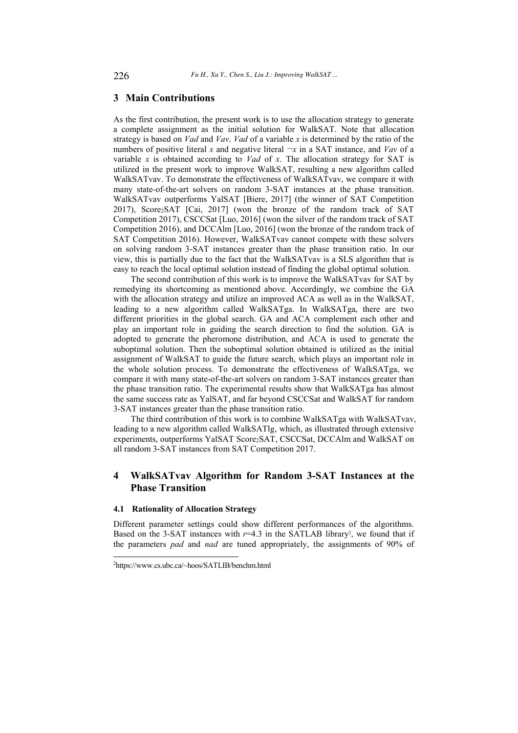# **3 Main Contributions**

As the first contribution, the present work is to use the allocation strategy to generate a complete assignment as the initial solution for WalkSAT. Note that allocation strategy is based on *Vad* and *Vav*. *Vad* of a variable *x* is determined by the ratio of the numbers of positive literal *x* and negative literal  $\neg x$  in a SAT instance, and *Vav* of a variable *x* is obtained according to *Vad* of *x*. The allocation strategy for SAT is utilized in the present work to improve WalkSAT, resulting a new algorithm called WalkSATvav. To demonstrate the effectiveness of WalkSATvav, we compare it with many state-of-the-art solvers on random 3-SAT instances at the phase transition. WalkSATvav outperforms YalSAT [Biere, 2017] (the winner of SAT Competition 2017), Score2SAT [Cai, 2017] (won the bronze of the random track of SAT Competition 2017), CSCCSat [Luo, 2016] (won the silver of the random track of SAT Competition 2016), and DCCAlm [Luo, 2016] (won the bronze of the random track of SAT Competition 2016). However, WalkSATvav cannot compete with these solvers on solving random 3-SAT instances greater than the phase transition ratio. In our view, this is partially due to the fact that the WalkSATvav is a SLS algorithm that is easy to reach the local optimal solution instead of finding the global optimal solution.

The second contribution of this work is to improve the WalkSATvav for SAT by remedying its shortcoming as mentioned above. Accordingly, we combine the GA with the allocation strategy and utilize an improved ACA as well as in the WalkSAT, leading to a new algorithm called WalkSATga. In WalkSATga, there are two different priorities in the global search. GA and ACA complement each other and play an important role in guiding the search direction to find the solution. GA is adopted to generate the pheromone distribution, and ACA is used to generate the suboptimal solution. Then the suboptimal solution obtained is utilized as the initial assignment of WalkSAT to guide the future search, which plays an important role in the whole solution process. To demonstrate the effectiveness of WalkSATga, we compare it with many state-of-the-art solvers on random 3-SAT instances greater than the phase transition ratio. The experimental results show that WalkSATga has almost the same success rate as YalSAT, and far beyond CSCCSat and WalkSAT for random 3-SAT instances greater than the phase transition ratio.

The third contribution of this work is to combine WalkSATga with WalkSATvav, leading to a new algorithm called WalkSATlg, which, as illustrated through extensive experiments, outperforms YalSAT Score2SAT, CSCCSat, DCCAlm and WalkSAT on all random 3-SAT instances from SAT Competition 2017.

# **4 WalkSATvav Algorithm for Random 3-SAT Instances at the Phase Transition**

## **4.1 Rationality of Allocation Strategy**

Different parameter settings could show different performances of the algorithms. Based on the 3-SAT instances with  $r=4.3$  in the SATLAB library<sup>2</sup>, we found that if the parameters *pad* and *nad* are tuned appropriately, the assignments of 90% of

-

<sup>2</sup>https://www.cs.ubc.ca/~hoos/SATLIB/benchm.html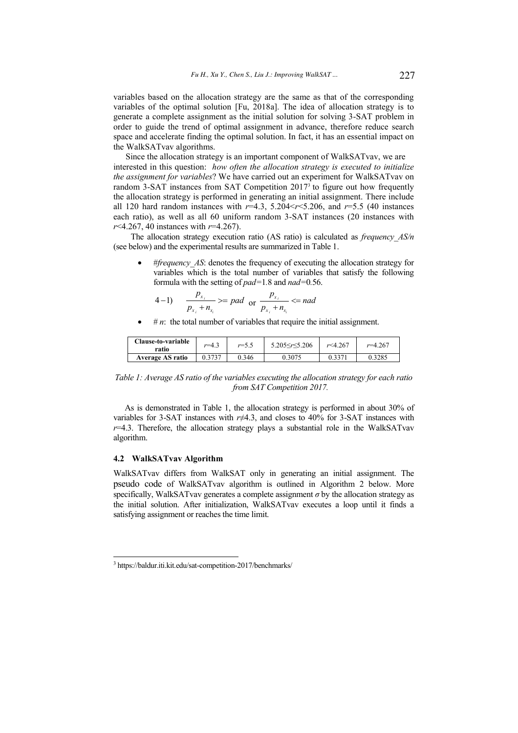variables based on the allocation strategy are the same as that of the corresponding variables of the optimal solution [Fu, 2018a]. The idea of allocation strategy is to generate a complete assignment as the initial solution for solving 3-SAT problem in order to guide the trend of optimal assignment in advance, therefore reduce search space and accelerate finding the optimal solution. In fact, it has an essential impact on the WalkSATvav algorithms.

Since the allocation strategy is an important component of WalkSATvav, we are interested in this question: *how often the allocation strategy is executed to initialize the assignment for variables*? We have carried out an experiment for WalkSATvav on random 3-SAT instances from SAT Competition 2017<sup>3</sup> to figure out how frequently the allocation strategy is performed in generating an initial assignment. There include all 120 hard random instances with *r*=4.3, 5.204<*r*<5.206, and *r*=5.5 (40 instances each ratio), as well as all 60 uniform random 3-SAT instances (20 instances with *r*<4.267, 40 instances with *r*=4.267).

The allocation strategy execution ratio (AS ratio) is calculated as *frequency\_AS/n* (see below) and the experimental results are summarized in Table 1.

#*frequency AS*: denotes the frequency of executing the allocation strategy for variables which is the total number of variables that satisfy the following formula with the setting of *pad=*1*.*8 and *nad=*0*.*56.

4-1) 
$$
\frac{p_{x_i}}{p_{x_i}+n_{x_i}} \geq pad \text{ or } \frac{p_{x_i}}{p_{x_i}+n_{x_i}} \leq nad
$$

 $# n$ : the total number of variables that require the initial assignment.

| <b>Clause-to-variable</b><br>ratio | $r=4$<br>т. . | $r = 5.5$ | $5.205 \le r \le 5.206$ | r<4.267 | . 767<br>$v = 4$ |
|------------------------------------|---------------|-----------|-------------------------|---------|------------------|
| <b>Average AS ratio</b>            | 0.3737        | 0.346     | 0.3075                  |         | 0.3285           |

*Table 1: Average AS ratio of the variables executing the allocation strategy for each ratio from SAT Competition 2017.*

As is demonstrated in Table 1, the allocation strategy is performed in about 30% of variables for 3-SAT instances with  $r\neq 4.3$ , and closes to 40% for 3-SAT instances with  $r=4.3$ . Therefore, the allocation strategy plays a substantial role in the WalkSATvav algorithm.

#### **4.2 WalkSATvav Algorithm**

-

WalkSATvav differs from WalkSAT only in generating an initial assignment. The pseudo code of WalkSATvav algorithm is outlined in Algorithm 2 below. More specifically, WalkSATvav generates a complete assignment  $\sigma$  by the allocation strategy as the initial solution. After initialization, WalkSATvav executes a loop until it finds a satisfying assignment or reaches the time limit.

<sup>3</sup> https://baldur.iti.kit.edu/sat-competition-2017/benchmarks/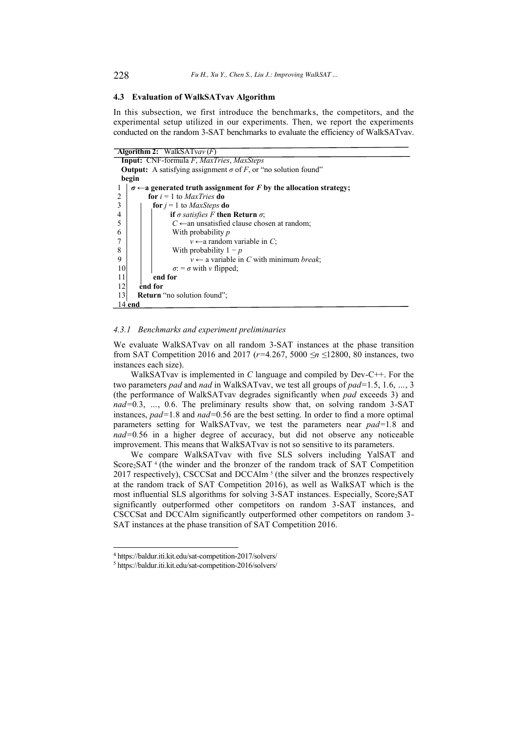#### **4.3 Evaluation of WalkSATvav Algorithm**

In this subsection, we first introduce the benchmarks, the competitors, and the experimental setup utilized in our experiments. Then, we report the experiments conducted on the random 3-SAT benchmarks to evaluate the efficiency of WalkSATvav.

| <b>Algorithm 2:</b> WalkSATvav $(F)$                                               |  |  |  |  |  |  |  |
|------------------------------------------------------------------------------------|--|--|--|--|--|--|--|
| <b>Input:</b> CNF-formula F, MaxTries, MaxSteps                                    |  |  |  |  |  |  |  |
| <b>Output:</b> A satisfying assignment $\sigma$ of F, or "no solution found"       |  |  |  |  |  |  |  |
| begin                                                                              |  |  |  |  |  |  |  |
| $\sigma \leftarrow$ a generated truth assignment for F by the allocation strategy; |  |  |  |  |  |  |  |
| $\overline{c}$<br>for $i = 1$ to <i>MaxTries</i> do                                |  |  |  |  |  |  |  |
| 3<br>for $j = 1$ to <i>MaxSteps</i> do                                             |  |  |  |  |  |  |  |
| 4<br>if $\sigma$ satisfies F then Return $\sigma$ ;                                |  |  |  |  |  |  |  |
| 5<br>$C \leftarrow$ an unsatisfied clause chosen at random;                        |  |  |  |  |  |  |  |
| 6<br>With probability <i>p</i>                                                     |  |  |  |  |  |  |  |
| $v \leftarrow$ a random variable in C;                                             |  |  |  |  |  |  |  |
| 8<br>With probability $1-p$                                                        |  |  |  |  |  |  |  |
| $v \leftarrow$ a variable in C with minimum <i>break</i> ;<br>9                    |  |  |  |  |  |  |  |
| 10<br>$\sigma$ : = $\sigma$ with v flipped;                                        |  |  |  |  |  |  |  |
| 11<br>end for                                                                      |  |  |  |  |  |  |  |
| 12<br>end for                                                                      |  |  |  |  |  |  |  |
| 13<br><b>Return</b> "no solution found";                                           |  |  |  |  |  |  |  |
| 14 end                                                                             |  |  |  |  |  |  |  |

#### *4.3.1 Benchmarks and experiment preliminaries*

We evaluate WalkSATvav on all random 3-SAT instances at the phase transition from SAT Competition 2016 and 2017 (*r=*4*.*267, 5000 *îQî*12800, 80 instances, two instances each size).

WalkSATvav is implemented in *C* language and compiled by Dev-C++. For the two parameters *pad* and *nad* in WalkSATvav, we test all groups of *pad=*1*.*5, 1*.*6, *´*, 3 (the performance of WalkSATvav degrades significantly when *pad* exceeds 3) and *nad*=0.3, ..., 0.6. The preliminary results show that, on solving random 3-SAT instances, *pad=*1*.*8 and *nad=*0*.*56 are the best setting. In order to find a more optimal parameters setting for WalkSATvav, we test the parameters near *pad=*1*.*8 and *nad=*0*.*56 in a higher degree of accuracy, but did not observe any noticeable improvement. This means that WalkSATvav is not so sensitive to its parameters.

We compare WalkSATvav with five SLS solvers including YalSAT and Score<sub>2</sub>SAT<sup>4</sup> (the winder and the bronzer of the random track of SAT Competition 2017 respectively), CSCCSat and DCCAlm<sup>5</sup> (the silver and the bronzes respectively at the random track of SAT Competition 2016), as well as WalkSAT which is the most influential SLS algorithms for solving 3-SAT instances. Especially, Score<sub>2</sub>SAT significantly outperformed other competitors on random 3-SAT instances, and CSCCSat and DCCAlm significantly outperformed other competitors on random 3- SAT instances at the phase transition of SAT Competition 2016.

 4 https://baldur.iti.kit.edu/sat-competition-2017/solvers/

<sup>5</sup> https://baldur.iti.kit.edu/sat-competition-2016/solvers/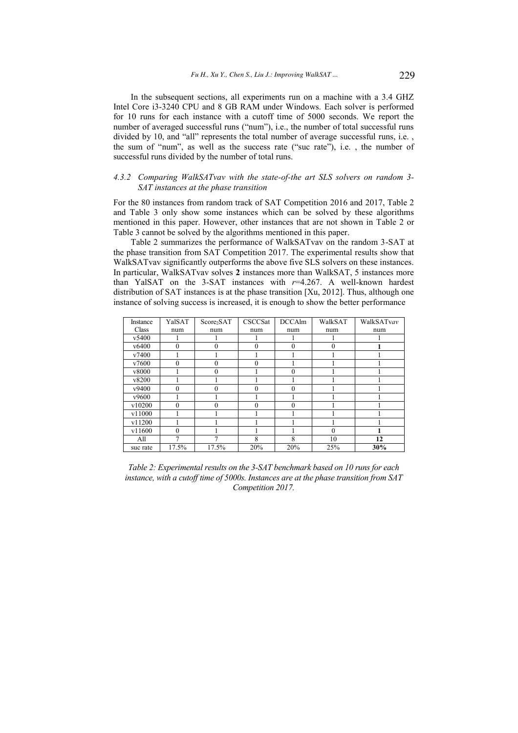In the subsequent sections, all experiments run on a machine with a 3.4 GHZ Intel Core i3-3240 CPU and 8 GB RAM under Windows. Each solver is performed for 10 runs for each instance with a cutoff time of 5000 seconds. We report the number of averaged successful runs ("num"), i.e., the number of total successful runs divided by 10, and "all" represents the total number of average successful runs, i.e., the sum of "num", as well as the success rate ("suc rate"), i.e., the number of successful runs divided by the number of total runs.

### *4.3.2 Comparing WalkSATvav with the state-of-the art SLS solvers on random 3- SAT instances at the phase transition*

For the 80 instances from random track of SAT Competition 2016 and 2017, Table 2 and Table 3 only show some instances which can be solved by these algorithms mentioned in this paper. However, other instances that are not shown in Table 2 or Table 3 cannot be solved by the algorithms mentioned in this paper.

Table 2 summarizes the performance of WalkSATvav on the random 3-SAT at the phase transition from SAT Competition 2017. The experimental results show that WalkSATvav significantly outperforms the above five SLS solvers on these instances. In particular, WalkSATvav solves **2** instances more than WalkSAT, 5 instances more than YalSAT on the 3-SAT instances with *r*=4.267. A well-known hardest distribution of SAT instances is at the phase transition [Xu, 2012]. Thus, although one instance of solving success is increased, it is enough to show the better performance

| Instance | YalSAT   | Score <sub>2</sub> SAT | CSCCSat  | <b>DCCAlm</b> | WalkSAT      | WalkSATvav |
|----------|----------|------------------------|----------|---------------|--------------|------------|
| Class    | num      | num                    | num      | num           | num          | num        |
| v5400    |          |                        |          |               |              |            |
| v6400    | $\Omega$ | $\theta$               | $\theta$ | $\theta$      | $\theta$     |            |
| v7400    |          |                        |          |               |              |            |
| v7600    | $\Omega$ | 0                      | $\Omega$ |               |              |            |
| v8000    |          | $\theta$               |          | $\Omega$      |              |            |
| v8200    |          |                        |          |               |              |            |
| v9400    | $\Omega$ | 0                      | $\Omega$ | $\Omega$      |              |            |
| v9600    |          |                        |          |               |              |            |
| v10200   | $\theta$ | $\Omega$               | $\Omega$ | $\theta$      |              |            |
| v11000   |          |                        |          |               |              |            |
| v11200   |          |                        |          |               |              |            |
| v11600   | $\theta$ |                        |          |               | $\mathbf{0}$ |            |
| All      | 7        |                        | 8        | 8             | 10           | 12         |
| suc rate | 17.5%    | 17.5%                  | 20%      | 20%           | 25%          | 30%        |

*Table 2: Experimental results on the 3-SAT benchmark based on 10 runs for each instance, with a cutoff time of 5000s. Instances are at the phase transition from SAT Competition 2017.*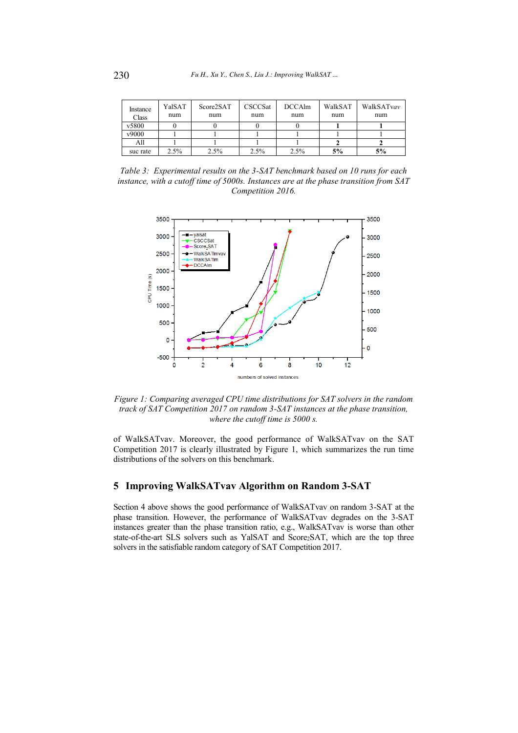| Instance<br>Class | YalSAT<br>num | Score2SAT<br>num | CSCCSat<br>num | <b>DCCAlm</b><br>num | WalkSAT<br>num | WalkSATvav<br>num |
|-------------------|---------------|------------------|----------------|----------------------|----------------|-------------------|
| v5800             |               |                  |                |                      |                |                   |
| v9000             |               |                  |                |                      |                |                   |
| All               |               |                  |                |                      |                |                   |
| suc rate          | 2.5%          | 2.5%             | 2.5%           | 2.5%                 | 5%             | 5%                |

*Table 3: Experimental results on the 3-SAT benchmark based on 10 runs for each instance, with a cutoff time of 5000s. Instances are at the phase transition from SAT Competition 2016.*



*Figure 1: Comparing averaged CPU time distributions for SAT solvers in the random track of SAT Competition 2017 on random 3-SAT instances at the phase transition, where the cutoff time is 5000 s.* 

of WalkSATvav. Moreover, the good performance of WalkSATvav on the SAT Competition 2017 is clearly illustrated by Figure 1, which summarizes the run time distributions of the solvers on this benchmark.

# **5 Improving WalkSATvav Algorithm on Random 3-SAT**

Section 4 above shows the good performance of WalkSATvav on random 3-SAT at the phase transition. However, the performance of WalkSATvav degrades on the 3-SAT instances greater than the phase transition ratio, e.g., WalkSATvav is worse than other state-of-the-art SLS solvers such as YalSAT and Score<sub>2</sub>SAT, which are the top three solvers in the satisfiable random category of SAT Competition 2017.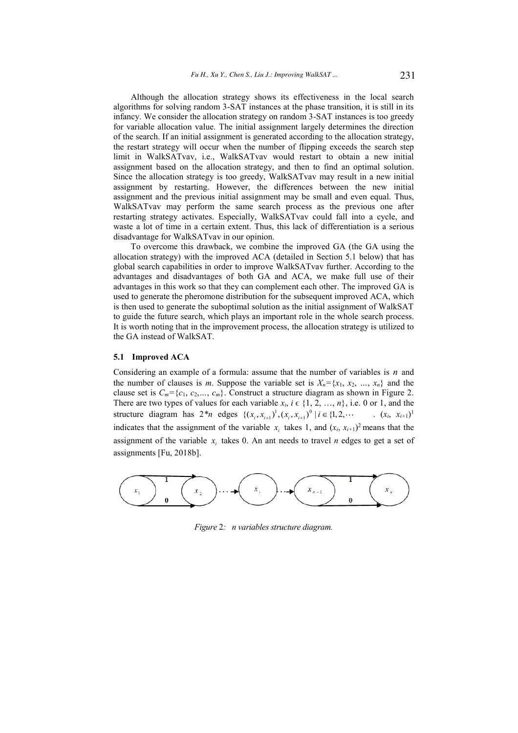Although the allocation strategy shows its effectiveness in the local search algorithms for solving random 3-SAT instances at the phase transition, it is still in its infancy. We consider the allocation strategy on random 3-SAT instances is too greedy for variable allocation value. The initial assignment largely determines the direction of the search. If an initial assignment is generated according to the allocation strategy, the restart strategy will occur when the number of flipping exceeds the search step limit in WalkSATvav, i.e., WalkSATvav would restart to obtain a new initial assignment based on the allocation strategy, and then to find an optimal solution. Since the allocation strategy is too greedy, WalkSATvav may result in a new initial assignment by restarting. However, the differences between the new initial assignment and the previous initial assignment may be small and even equal. Thus, WalkSATvav may perform the same search process as the previous one after restarting strategy activates. Especially, WalkSATvav could fall into a cycle, and waste a lot of time in a certain extent. Thus, this lack of differentiation is a serious disadvantage for WalkSATvav in our opinion.

To overcome this drawback, we combine the improved GA (the GA using the allocation strategy) with the improved ACA (detailed in Section 5.1 below) that has global search capabilities in order to improve WalkSATvav further. According to the advantages and disadvantages of both GA and ACA, we make full use of their advantages in this work so that they can complement each other. The improved GA is used to generate the pheromone distribution for the subsequent improved ACA, which is then used to generate the suboptimal solution as the initial assignment of WalkSAT to guide the future search, which plays an important role in the whole search process. It is worth noting that in the improvement process, the allocation strategy is utilized to the GA instead of WalkSAT.

# **5.1 Improved ACA**

Considering an example of a formula: assume that the number of variables is *n* and the number of clauses is *m*. Suppose the variable set is  $X_n = \{x_1, x_2, ..., x_n\}$  and the clause set is  $C_m = \{c_1, c_2, \ldots, c_m\}$ . Construct a structure diagram as shown in Figure 2. There are two types of values for each variable  $x_i$ ,  $i \in \{1, 2, ..., n\}$ , i.e. 0 or 1, and the structure diagram has  $2^*n$  edges  $\{(x_i, x_{i+1})^1, (x_i, x_{i+1})^0 \mid i \in \{1, 2, \cdots \}$  .  $(x_i, x_{i+1})^1, (x_i, x_{i+1})^0 \mid i \in \{1, 2, \cdots \}$  $(x_i, x_{i+1})^1$ indicates that the assignment of the variable  $x_i$  takes 1, and  $(x_i, x_{i+1})^2$  means that the assignment of the variable  $x_i$  takes 0. An ant needs to travel *n* edges to get a set of assignments [Fu, 2018b].



*Figure* 2*: n variables structure diagram.*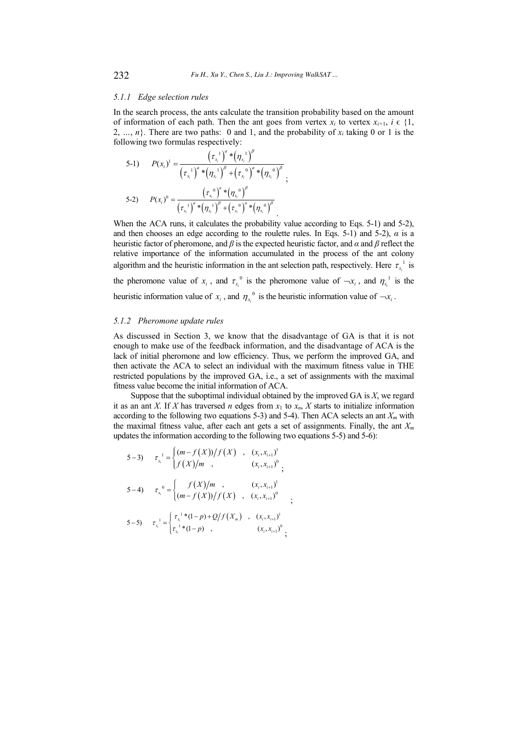#### *5.1.1 Edge selection rules*

In the search process, the ants calculate the transition probability based on the amount of information of each path. Then the ant goes from vertex  $x_i$  to vertex  $x_{i+1}$ ,  $i \in \{1,$ 2, ..., *n*}. There are two paths: 0 and 1, and the probability of  $x_i$  taking 0 or 1 is the following two formulas respectively:

5-1) 
$$
P(x_i)^1 = \frac{(\tau_{x_i}^1)^a * (\eta_{x_i}^1)^{\beta}}{(\tau_{x_i}^1)^a * (\eta_{x_i}^1)^{\beta} + (\tau_{x_i}^0)^a * (\eta_{x_i}^0)^{\beta}};
$$
  
5-2) 
$$
P(x_i)^0 = \frac{(\tau_{x_i}^0)^a * (\eta_{x_i}^0)^{\beta}}{(\tau_{x_i}^1)^a * (\eta_{x_i}^1)^{\beta} + (\tau_{x_i}^0)^a * (\eta_{x_i}^0)^{\beta}}.
$$

When the ACA runs, it calculates the probability value according to Eqs. 5-1) and 5-2), and then chooses an edge according to the roulette rules. In Eqs. 5-1) and 5-2),  $\alpha$  is a heuristic factor of pheromone, and  $\beta$  is the expected heuristic factor, and  $\alpha$  and  $\beta$  reflect the relative importance of the information accumulated in the process of the ant colony algorithm and the heuristic information in the ant selection path, respectively. Here  $\tau_{x_i}^{-1}$  is the pheromone value of  $x_i$ , and  $\tau_{x_i}^0$  is the pheromone value of  $-x_i$ , and  $\eta_{x_i}^1$  is the

heuristic information value of  $x_i$ , and  $\eta_{x_i}^0$  is the heuristic information value of  $\neg x_i$ .

#### *5.1.2 Pheromone update rules*

As discussed in Section 3, we know that the disadvantage of GA is that it is not enough to make use of the feedback information, and the disadvantage of ACA is the lack of initial pheromone and low efficiency. Thus, we perform the improved GA, and then activate the ACA to select an individual with the maximum fitness value in THE restricted populations by the improved GA, i.e., a set of assignments with the maximal fitness value become the initial information of ACA.

Suppose that the suboptimal individual obtained by the improved GA is *X*, we regard it as an ant *X*. If *X* has traversed *n* edges from  $x_1$  to  $x_n$ , *X* starts to initialize information according to the following two equations 5-3) and 5-4). Then ACA selects an ant  $X<sub>m</sub>$  with the maximal fitness value, after each ant gets a set of assignments. Finally, the ant *X<sup>m</sup>* updates the information according to the following two equations 5-5) and 5-6):

$$
5-3) \t\t \tau_{x_i}^{-1} = \begin{cases} (m-f(X))/f(X) , & (x_i, x_{i+1})^1 \\ f(X)/m , & (x_i, x_{i+1})^0 \\ \end{cases}
$$
  
\n
$$
5-4) \t\t \tau_{x_i}^{-0} = \begin{cases} f(X)/m , & (x_i, x_{i+1})^1 \\ (m-f(X))/f(X) , & (x_i, x_{i+1})^0 \\ \end{cases}
$$
  
\n
$$
5-5) \t\t \tau_{x_i}^{-1} = \begin{cases} \tau_{x_i}^{-1} * (1-p) + Q/f(X_m) , & (x_i, x_{i+1})^1 \\ \tau_{x_i}^{-1} * (1-p) , & (x_i, x_{i+1})^0 \\ \end{cases}
$$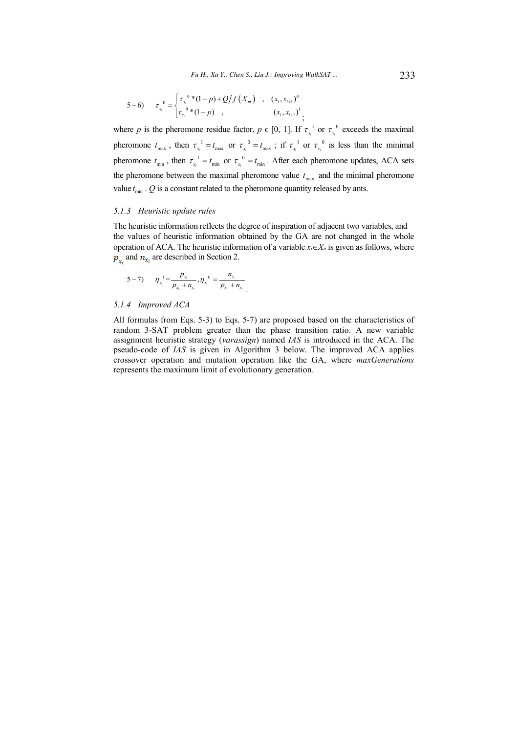$$
5-6) \t\t \tau_{x_i}^0 = \begin{cases} \tau_{x_i}^0 * (1-p) + Q/f(X_m) & , & (x_i, x_{i+1})^0 \\ \tau_{x_i}^0 * (1-p) & , & (x_i, x_{i+1})^1 \\ \end{cases};
$$

where *p* is the pheromone residue factor,  $p \in [0, 1]$ . If  $\tau_{x_i}^{-1}$  or  $\tau_{x_i}^{-0}$  exceeds the maximal pheromone  $t_{\text{max}}$ , then  $\tau_{x_i}^{-1} = t_{\text{max}}$  or  $\tau_{x_i}^{-0} = t_{\text{max}}$ ; if  $\tau_{x_i}^{-1}$  or  $\tau_{x_i}^{-0}$  is less than the minimal pheromone  $t_{\min}$ , then  $\tau_{x_i}^{-1} = t_{\min}$  or  $\tau_{x_i}^{-0} = t_{\min}$ . After each pheromone updates, ACA sets the pheromone between the maximal pheromone value  $t_{\text{max}}$  and the minimal pheromone value  $t_{\text{min}}$  .  $Q$  is a constant related to the pheromone quantity released by ants.

#### *5.1.3 Heuristic update rules*

The heuristic information reflects the degree of inspiration of adjacent two variables, and the values of heuristic information obtained by the GA are not changed in the whole operation of ACA. The heuristic information of a variable  $x_i \in X_n$  is given as follows, where  $p_{x_i}$  and  $n_{x_i}$  are described in Section 2.

.

$$
5-7\qquad \eta_{x_i} = \frac{p_{x_i}}{p_{x_i} + n_{x_i}}, \eta_{x_i} = \frac{n_{x_i}}{p_{x_i} + n_{x_i}}
$$

### *5.1.4 Improved ACA*

All formulas from Eqs. 5-3) to Eqs. 5-7) are proposed based on the characteristics of random 3-SAT problem greater than the phase transition ratio. A new variable assignment heuristic strategy (*varassign*) named *IAS* is introduced in the ACA. The pseudo-code of *IAS* is given in Algorithm 3 below. The improved ACA applies crossover operation and mutation operation like the GA, where *maxGenerations* represents the maximum limit of evolutionary generation.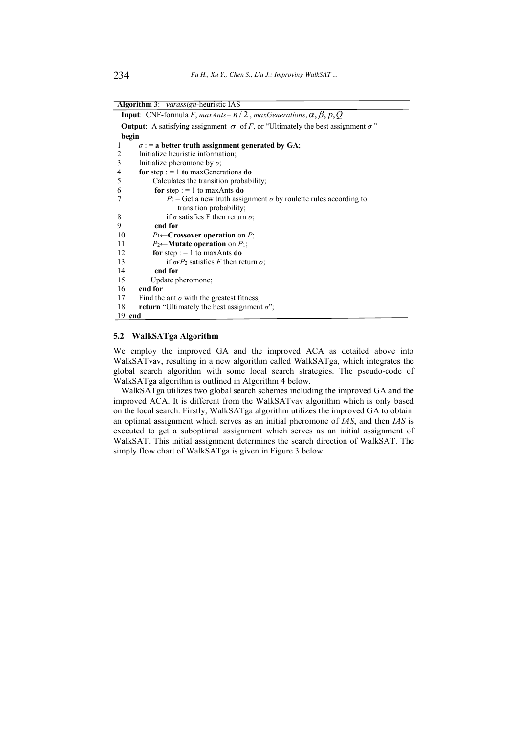**Algorithm 3**: *varassign*-heuristic IAS

|                | <b>Input:</b> CNF-formula F, maxAnts= $n/2$ , maxGenerations, $\alpha$ , $\beta$ , $p$ , Q          |  |  |  |  |  |  |  |  |
|----------------|-----------------------------------------------------------------------------------------------------|--|--|--|--|--|--|--|--|
|                | <b>Output:</b> A satisfying assignment $\sigma$ of F, or "Ultimately the best assignment $\sigma$ " |  |  |  |  |  |  |  |  |
|                | begin                                                                                               |  |  |  |  |  |  |  |  |
| 1              | $\sigma$ : = a better truth assignment generated by GA;                                             |  |  |  |  |  |  |  |  |
| 2              | Initialize heuristic information;                                                                   |  |  |  |  |  |  |  |  |
| $\mathfrak{Z}$ | Initialize pheromone by $\sigma$ ;                                                                  |  |  |  |  |  |  |  |  |
| 4              | for step : $= 1$ to max Generations do                                                              |  |  |  |  |  |  |  |  |
| 5              | Calculates the transition probability;                                                              |  |  |  |  |  |  |  |  |
| 6              | for step : $= 1$ to max Ants do                                                                     |  |  |  |  |  |  |  |  |
| 7              | $P$ : = Get a new truth assignment $\sigma$ by roulette rules according to                          |  |  |  |  |  |  |  |  |
|                | transition probability;                                                                             |  |  |  |  |  |  |  |  |
| 8              | if $\sigma$ satisfies F then return $\sigma$ ;                                                      |  |  |  |  |  |  |  |  |
| 9              | end for                                                                                             |  |  |  |  |  |  |  |  |
| 10             | $P_1 \leftarrow$ Crossover operation on P;                                                          |  |  |  |  |  |  |  |  |
| 11             | $P_2 \leftarrow$ Mutate operation on $P_1$ ;                                                        |  |  |  |  |  |  |  |  |
| 12             | for step : $= 1$ to maxAnts do                                                                      |  |  |  |  |  |  |  |  |
| 13             | if $\sigma \in P_2$ satisfies F then return $\sigma$ ;                                              |  |  |  |  |  |  |  |  |
| 14             | end for                                                                                             |  |  |  |  |  |  |  |  |
| 15             | Update pheromone;                                                                                   |  |  |  |  |  |  |  |  |
| 16             | end for                                                                                             |  |  |  |  |  |  |  |  |
| 17             | Find the ant $\sigma$ with the greatest fitness;                                                    |  |  |  |  |  |  |  |  |
| 18             | <b>return</b> "Ultimately the best assignment $\sigma$ ";                                           |  |  |  |  |  |  |  |  |
|                | 19 end                                                                                              |  |  |  |  |  |  |  |  |

# **5.2 WalkSATga Algorithm**

We employ the improved GA and the improved ACA as detailed above into WalkSATvav, resulting in a new algorithm called WalkSATga, which integrates the global search algorithm with some local search strategies. The pseudo-code of WalkSATga algorithm is outlined in Algorithm 4 below.

WalkSATga utilizes two global search schemes including the improved GA and the improved ACA. It is different from the WalkSATvav algorithm which is only based on the local search. Firstly, WalkSATga algorithm utilizes the improved GA to obtain an optimal assignment which serves as an initial pheromone of *IAS*, and then *IAS* is executed to get a suboptimal assignment which serves as an initial assignment of WalkSAT. This initial assignment determines the search direction of WalkSAT. The simply flow chart of WalkSATga is given in Figure 3 below.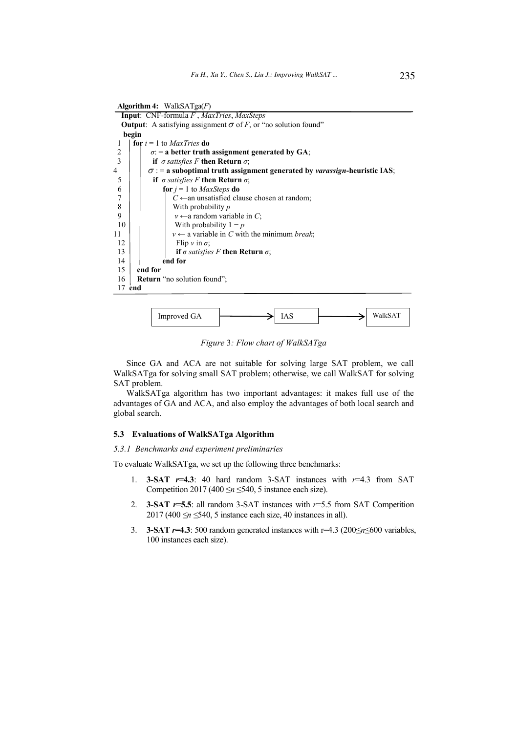**Algorithm 4:** WalkSATga(*F*) **Input**: CNF-formula *F* , *MaxTries*, *MaxSteps* **Output:** A satisfying assignment  $\sigma$  of *F*, or "no solution found" **begin**   $\begin{array}{c} 1 \\ 2 \end{array}$  **for**  $i = 1$  to *MaxTries* **do**  $\sigma$ : = **a** better truth 2  $\sigma$ : = **a** better truth assignment generated by GA;<br> **1 1 if**  $\sigma$  satisfies F then Return  $\sigma$ ; if  $\sigma$  satisfies F then Return  $\sigma$ ;  $\begin{array}{c|c|c|c} 4 & \sigma := \text{a suboptimal truth assignment generated by *varassign*-heuristic IAS; \end{array}$ 5 **if**  $\sigma$  *satisfies* F **then Return**  $\sigma$ ; 6 **for**  $j = 1$  to *MaxSteps* **do** 7  $\begin{array}{|c|c|c|}\n7 & C \leftarrow \text{an unsatisfied clause chosen at random;} \\
8 & \text{With probability } p\n\end{array}$ 8 With probability *p*<br> $\begin{array}{c|c} y \leftarrow a \text{ random vari} \end{array}$  $v \leftarrow$  a random variable in *C*;  $10 \mid \cdot \cdot \cdot \cdot \cdot$  With probability  $1 - p$ 11  $v \leftarrow$  a variable in *C* with the minimum *break*;  $\begin{array}{c|c} 12 & \text{Flip } v \text{ in } \sigma; \\ 13 & \text{if } \sigma \text{ satisfies} \end{array}$ if  $\sigma$  satisfies F then Return  $\sigma$ ; 14 **end for**  15 **end for**  16 **Return** "no solution found": 17 **end** 



*Figure* 3*: Flow chart of WalkSATga* 

Since GA and ACA are not suitable for solving large SAT problem, we call WalkSATga for solving small SAT problem; otherwise, we call WalkSAT for solving SAT problem.

WalkSATga algorithm has two important advantages: it makes full use of the advantages of GA and ACA, and also employ the advantages of both local search and global search.

### **5.3 Evaluations of WalkSATga Algorithm**

### *5.3.1 Benchmarks and experiment preliminaries*

To evaluate WalkSATga, we set up the following three benchmarks:

- 1. **3-SAT** *r***=4.3**: 40 hard random 3-SAT instances with *r*=4.3 from SAT Competition 2017 (400  $\leq n \leq 540$ , 5 instance each size).
- 2. **3-SAT** *r***=5.5**: all random 3-SAT instances with *r*=5.5 from SAT Competition  $2017 (400 \le n \le 540, 5$  instance each size, 40 instances in all).
- 3. **3-SAT**  $r=4.3$ : 500 random generated instances with  $r=4.3$  (200 $\leq r \leq 600$  variables, 100 instances each size).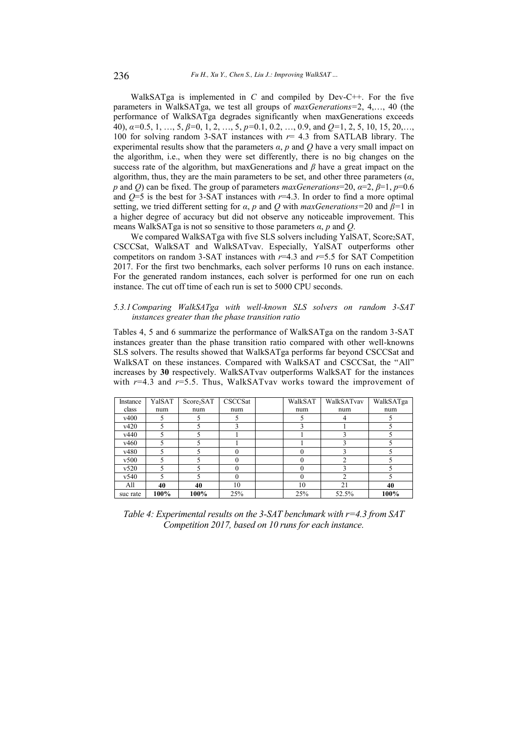WalkSATga is implemented in *C* and compiled by Dev-C++. For the five parameters in WalkSATga, we test all groups of *maxGenerations*=2, 4,..., 40 (the performance of WalkSATga degrades significantly when maxGenerations exceeds 40),  $\alpha$ =0.5, 1, ..., 5,  $\beta$ =0, 1, 2, ..., 5,  $p$ =0.1, 0.2, ..., 0.9, and  $Q=1, 2, 5, 10, 15, 20, \ldots$ , 100 for solving random 3-SAT instances with *r*= 4.3 from SATLAB library. The experimental results show that the parameters  $\alpha$ ,  $p$  and  $Q$  have a very small impact on the algorithm, i.e., when they were set differently, there is no big changes on the success rate of the algorithm, but maxGenerations and  $\beta$  have a great impact on the algorithm, thus, they are the main parameters to be set, and other three parameters  $(a,$ *p* and *Q*) can be fixed. The group of parameters *maxGenerations*=20,  $\alpha$ =2,  $\beta$ =1,  $p$ =0.6 and  $Q=5$  is the best for 3-SAT instances with  $r=4.3$ . In order to find a more optimal setting, we tried different setting for  $\alpha$ ,  $p$  and  $Q$  with *maxGenerations*=20 and  $\beta$ =1 in a higher degree of accuracy but did not observe any noticeable improvement. This means WalkSATga is not so sensitive to those parameters  $\alpha$ , p and O.

We compared WalkSATga with five SLS solvers including YalSAT, Score<sub>2</sub>SAT, CSCCSat, WalkSAT and WalkSATvav. Especially, YalSAT outperforms other competitors on random 3-SAT instances with *r*=4.3 and *r*=5.5 for SAT Competition 2017. For the first two benchmarks, each solver performs 10 runs on each instance. For the generated random instances, each solver is performed for one run on each instance. The cut off time of each run is set to 5000 CPU seconds.

### *5.3.1Comparing WalkSATga with well-known SLS solvers on random 3-SAT instances greater than the phase transition ratio*

Tables 4, 5 and 6 summarize the performance of WalkSATga on the random 3-SAT instances greater than the phase transition ratio compared with other well-knowns SLS solvers. The results showed that WalkSATga performs far beyond CSCCSat and WalkSAT on these instances. Compared with WalkSAT and CSCCSat, the "All" increases by **30** respectively. WalkSATvav outperforms WalkSAT for the instances with *r*=4.3 and *r*=5.5. Thus, WalkSATvav works toward the improvement of

| Instance | YalSAT | Score <sub>2</sub> SAT | CSCCSat  | WalkSAT | WalkSATvav     | WalkSATga |
|----------|--------|------------------------|----------|---------|----------------|-----------|
| class    | num    | num                    | num      | num     | num            | num       |
| v400     | 5      |                        |          |         | 4              |           |
| v420     |        |                        |          |         |                |           |
| v440     |        |                        |          |         |                |           |
| v460     |        |                        |          |         |                |           |
| v480     |        |                        |          |         | ٩              |           |
| v500     |        |                        |          |         | C              |           |
| v520     |        |                        |          |         |                |           |
| v540     |        |                        | $\Omega$ |         | $\mathfrak{D}$ |           |
| All      | 40     | 40                     | 10       | 10      | 21             | 40        |
| suc rate | 100%   | 100%                   | 25%      | 25%     | 52.5%          | 100%      |

*Table 4: Experimental results on the 3-SAT benchmark with r=4.3 from SAT Competition 2017, based on 10 runs for each instance.*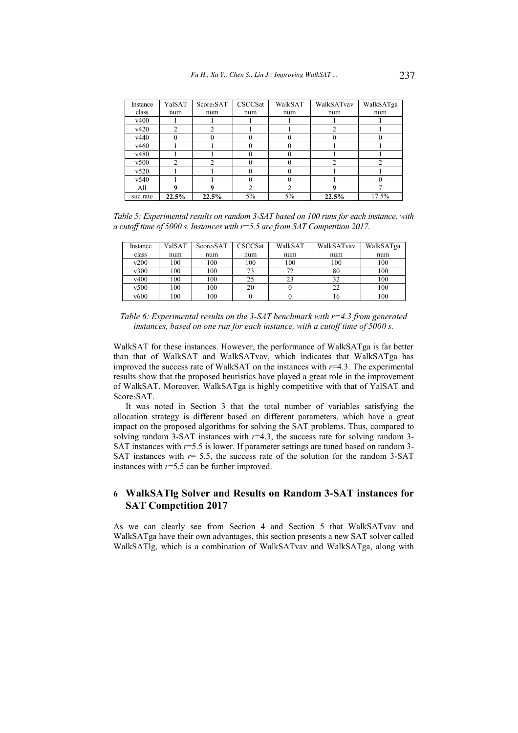| Instance | YalSAT | Score <sub>2</sub> SAT | CSCCSat | WalkSAT        | WalkSATvav | WalkSATga |
|----------|--------|------------------------|---------|----------------|------------|-----------|
| class    | num    | num                    | num     | num            | num        | num       |
| v400     |        |                        |         |                |            |           |
| v420     | 2      | 2                      |         |                | 2          |           |
| v440     | 0      | 0                      |         | $_{0}$         | $\Omega$   |           |
| v460     |        |                        |         | 0              |            |           |
| v480     |        |                        |         | 0              |            |           |
| v500     | 2      | C                      |         | 0              | 2          |           |
| v520     |        |                        |         |                |            |           |
| v540     |        |                        |         |                |            |           |
| All      |        |                        |         | $\mathfrak{D}$ |            |           |
| suc rate | 22.5%  | 22.5%                  | 5%      | 5%             | 22.5%      | 17.5%     |

*Table 5: Experimental results on random 3-SAT based on 100 runs for each instance, with a cutoff time of 5000 s. Instances with r=5.5 are from SAT Competition 2017.* 

| Instance | YalSAT | Score <sub>2</sub> SAT | CSCCSat | WalkSAT | WalkSATvav | WalkSATga |
|----------|--------|------------------------|---------|---------|------------|-----------|
| class    | num    | num                    | num     | num     | num        | num       |
| v200     | 100    | 100                    | 100     | 100     | 100        | 100       |
| v300     | 100    | 100                    | 73      | 72      | 80         | 100       |
| v400     | 100    | 100                    | 25      | 23      | 32         | 100       |
| v500     | 100    | 100                    | 20      |         | 22         | 100       |
| v600     | 100    | 100                    |         |         | 10         | 100       |

*Table 6: Experimental results on the 3-SAT benchmark with r=4.3 from generated instances, based on one run for each instance, with a cutoff time of 5000 s.*

WalkSAT for these instances. However, the performance of WalkSATga is far better than that of WalkSAT and WalkSATvav, which indicates that WalkSATga has improved the success rate of WalkSAT on the instances with *r*=4.3. The experimental results show that the proposed heuristics have played a great role in the improvement of WalkSAT. Moreover, WalkSATga is highly competitive with that of YalSAT and Score<sub>2</sub>SAT.

It was noted in Section 3 that the total number of variables satisfying the allocation strategy is different based on different parameters, which have a great impact on the proposed algorithms for solving the SAT problems. Thus, compared to solving random 3-SAT instances with  $r=4.3$ , the success rate for solving random 3-SAT instances with *r*=5.5 is lower. If parameter settings are tuned based on random 3- SAT instances with  $r=$  5.5, the success rate of the solution for the random 3-SAT instances with *r*=5.5 can be further improved.

# **6 WalkSATlg Solver and Results on Random 3-SAT instances for SAT Competition 2017**

As we can clearly see from Section 4 and Section 5 that WalkSATvav and WalkSATga have their own advantages, this section presents a new SAT solver called WalkSATlg, which is a combination of WalkSATvav and WalkSATga, along with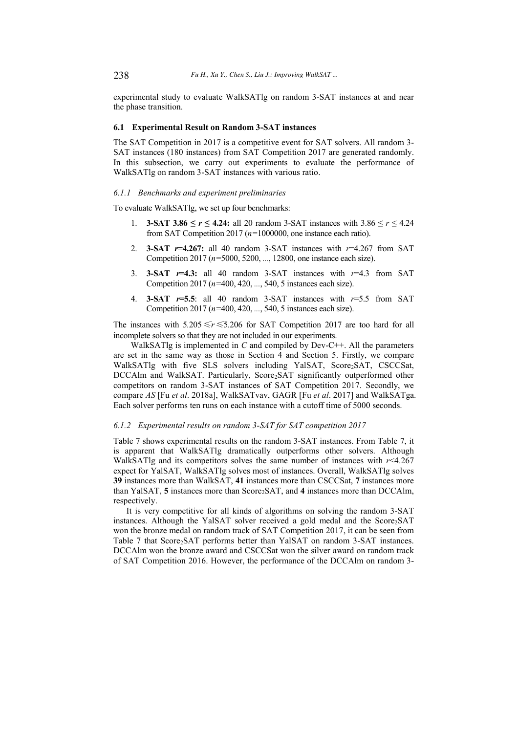experimental study to evaluate WalkSATlg on random 3-SAT instances at and near the phase transition.

# **6.1 Experimental Result on Random 3-SAT instances**

The SAT Competition in 2017 is a competitive event for SAT solvers. All random 3- SAT instances (180 instances) from SAT Competition 2017 are generated randomly. In this subsection, we carry out experiments to evaluate the performance of WalkSATlg on random 3-SAT instances with various ratio.

#### *6.1.1 Benchmarks and experiment preliminaries*

To evaluate WalkSATlg, we set up four benchmarks:

- 1. **3-SAT 3.86**  $\le r \le 4.24$ ; all 20 random 3-SAT instances with  $3.86 \le r \le 4.24$ from SAT Competition 2017 (*n=*1000000, one instance each ratio).
- 2. **3-SAT** *r***=4.267:** all 40 random 3-SAT instances with *r*=4.267 from SAT Competition 2017 (*n=*5000, 5200, *...*, 12800, one instance each size).
- 3. **3-SAT** *r***=4.3:** all 40 random 3-SAT instances with *r*=4.3 from SAT Competition 2017 (*n=*400, 420, *...*, 540, 5 instances each size).
- 4. **3-SAT** *r***=5.5**: all 40 random 3-SAT instances with *r*=5.5 from SAT Competition 2017 (*n=*400, 420, *...*, 540, 5 instances each size).

The instances with  $5.205 \le r \le 5.206$  for SAT Competition 2017 are too hard for all incomplete solvers so that they are not included in our experiments.

WalkSATlg is implemented in *C* and compiled by Dev-C++. All the parameters are set in the same way as those in Section 4 and Section 5. Firstly, we compare WalkSATlg with five SLS solvers including YalSAT, Score2SAT, CSCCSat, DCCAlm and WalkSAT. Particularly, Score<sub>2</sub>SAT significantly outperformed other competitors on random 3-SAT instances of SAT Competition 2017. Secondly, we compare *AS* [Fu *et al*. 2018a], WalkSATvav, GAGR [Fu *et al*. 2017] and WalkSATga. Each solver performs ten runs on each instance with a cutoff time of 5000 seconds.

## *6.1.2 Experimental results on random 3-SAT for SAT competition 2017*

Table 7 shows experimental results on the random 3-SAT instances. From Table 7, it is apparent that WalkSATlg dramatically outperforms other solvers. Although WalkSATlg and its competitors solves the same number of instances with *r*<4.267 expect for YalSAT, WalkSATlg solves most of instances. Overall, WalkSATlg solves **39** instances more than WalkSAT, **41** instances more than CSCCSat, **7** instances more than YalSAT, 5 instances more than Score<sub>2</sub>SAT, and 4 instances more than DCCAlm, respectively.

It is very competitive for all kinds of algorithms on solving the random 3-SAT instances. Although the YalSAT solver received a gold medal and the Score<sub>2</sub>SAT won the bronze medal on random track of SAT Competition 2017, it can be seen from Table 7 that Score<sub>2</sub>SAT performs better than YalSAT on random 3-SAT instances. DCCAlm won the bronze award and CSCCSat won the silver award on random track of SAT Competition 2016. However, the performance of the DCCAlm on random 3-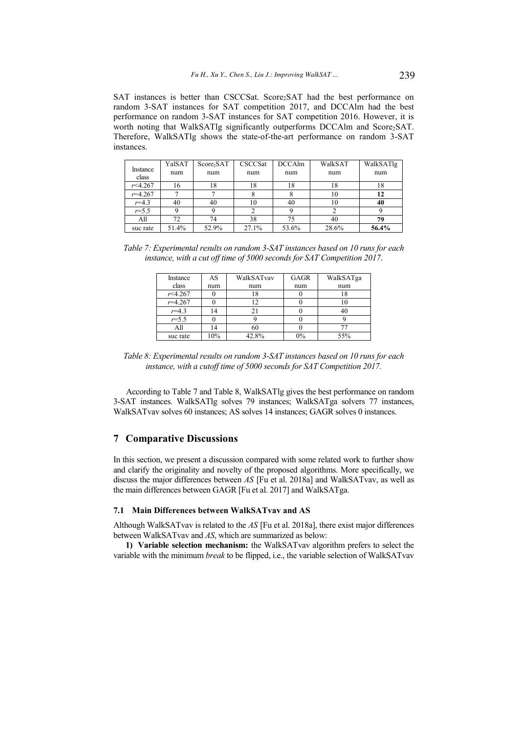SAT instances is better than CSCCSat. Score2SAT had the best performance on random 3-SAT instances for SAT competition 2017, and DCCAlm had the best performance on random 3-SAT instances for SAT competition 2016. However, it is worth noting that WalkSATlg significantly outperforms DCCAlm and Score<sub>2</sub>SAT. Therefore, WalkSATlg shows the state-of-the-art performance on random 3-SAT instances.

|                   | YalSAT | Score <sub>2</sub> SAT | CSCCSat | <b>DCCAlm</b> | WalkSAT | WalkSATlg |
|-------------------|--------|------------------------|---------|---------------|---------|-----------|
| Instance<br>class | num    | num                    | num     | num           | num     | num       |
| r<4.267           | 16     | 18                     | 18      | 18            | 18      | 18        |
| $r = 4.267$       |        |                        |         |               | 10      |           |
|                   |        |                        |         |               |         | 12        |
| $r = 4.3$         | 40     | 40                     | 10      | 40            | 10      | 40        |
| $r = 5.5$         |        |                        |         |               |         |           |
| All               | 72     | 74                     | 38      | 75            | 40      | 79        |
| suc rate          | 51.4%  | 52.9%                  | 27.1%   | 53.6%         | 28.6%   | 56.4%     |

*Table 7: Experimental results on random 3-SAT instances based on 10 runs for each instance, with a cut off time of 5000 seconds for SAT Competition 2017*.

| Instance         | AS  | WalkSATvav | <b>GAGR</b> | WalkSATga |
|------------------|-----|------------|-------------|-----------|
| class            | num | num        | num         | num       |
| $r$ $\leq$ 4.267 |     | 18         |             | 18        |
| $r = 4.267$      |     |            |             |           |
| $r = 4.3$        | ۱4  | 21         |             |           |
| $r = 5.5$        |     |            |             |           |
| All              | 4   | 60         |             |           |
| suc rate         | 10% | 42.8%      | $0\%$       | 55%       |

*Table 8: Experimental results on random 3-SAT instances based on 10 runs for each instance, with a cutoff time of 5000 seconds for SAT Competition 2017.*

According to Table 7 and Table 8, WalkSATlg gives the best performance on random 3-SAT instances. WalkSATlg solves 79 instances; WalkSATga solvers 77 instances, WalkSATvav solves 60 instances; AS solves 14 instances; GAGR solves 0 instances.

# **7 Comparative Discussions**

In this section, we present a discussion compared with some related work to further show and clarify the originality and novelty of the proposed algorithms. More specifically, we discuss the major differences between *AS* [Fu et al. 2018a] and WalkSATvav, as well as the main differences between GAGR [Fu et al. 2017] and WalkSATga.

#### **7.1 Main Differences between WalkSATvav and AS**

Although WalkSATvav is related to the *AS* [Fu et al. 2018a], there exist major differences between WalkSATvav and *AS*, which are summarized as below:

**1) Variable selection mechanism:** the WalkSATvav algorithm prefers to select the variable with the minimum *break* to be flipped, i.e., the variable selection of WalkSATvav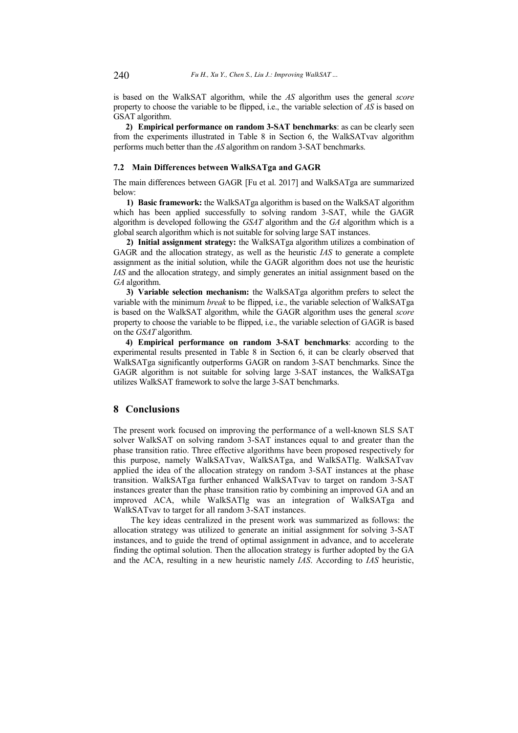is based on the WalkSAT algorithm, while the *AS* algorithm uses the general *score* property to choose the variable to be flipped, i.e., the variable selection of *AS* is based on GSAT algorithm.

**2) Empirical performance on random 3-SAT benchmarks**: as can be clearly seen from the experiments illustrated in Table 8 in Section 6, the WalkSATvav algorithm performs much better than the *AS* algorithm on random 3-SAT benchmarks.

### **7.2 Main Differences between WalkSATga and GAGR**

The main differences between GAGR [Fu et al. 2017] and WalkSATga are summarized below:

**1) Basic framework:** the WalkSATga algorithm is based on the WalkSAT algorithm which has been applied successfully to solving random 3-SAT, while the GAGR algorithm is developed following the *GSAT* algorithm and the *GA* algorithm which is a global search algorithm which is not suitable for solving large SAT instances.

**2) Initial assignment strategy:** the WalkSATga algorithm utilizes a combination of GAGR and the allocation strategy, as well as the heuristic *IAS* to generate a complete assignment as the initial solution, while the GAGR algorithm does not use the heuristic *IAS* and the allocation strategy, and simply generates an initial assignment based on the *GA* algorithm.

**3) Variable selection mechanism:** the WalkSATga algorithm prefers to select the variable with the minimum *break* to be flipped, i.e., the variable selection of WalkSATga is based on the WalkSAT algorithm, while the GAGR algorithm uses the general *score* property to choose the variable to be flipped, i.e., the variable selection of GAGR is based on the *GSAT* algorithm.

**4) Empirical performance on random 3-SAT benchmarks**: according to the experimental results presented in Table 8 in Section 6, it can be clearly observed that WalkSATga significantly outperforms GAGR on random 3-SAT benchmarks. Since the GAGR algorithm is not suitable for solving large 3-SAT instances, the WalkSATga utilizes WalkSAT framework to solve the large 3-SAT benchmarks.

### **8 Conclusions**

The present work focused on improving the performance of a well-known SLS SAT solver WalkSAT on solving random 3-SAT instances equal to and greater than the phase transition ratio. Three effective algorithms have been proposed respectively for this purpose, namely WalkSATvav, WalkSATga, and WalkSATlg. WalkSATvav applied the idea of the allocation strategy on random 3-SAT instances at the phase transition. WalkSATga further enhanced WalkSATvav to target on random 3-SAT instances greater than the phase transition ratio by combining an improved GA and an improved ACA, while WalkSATlg was an integration of WalkSATga and WalkSATvav to target for all random 3-SAT instances.

The key ideas centralized in the present work was summarized as follows: the allocation strategy was utilized to generate an initial assignment for solving 3-SAT instances, and to guide the trend of optimal assignment in advance, and to accelerate finding the optimal solution. Then the allocation strategy is further adopted by the GA and the ACA, resulting in a new heuristic namely *IAS*. According to *IAS* heuristic,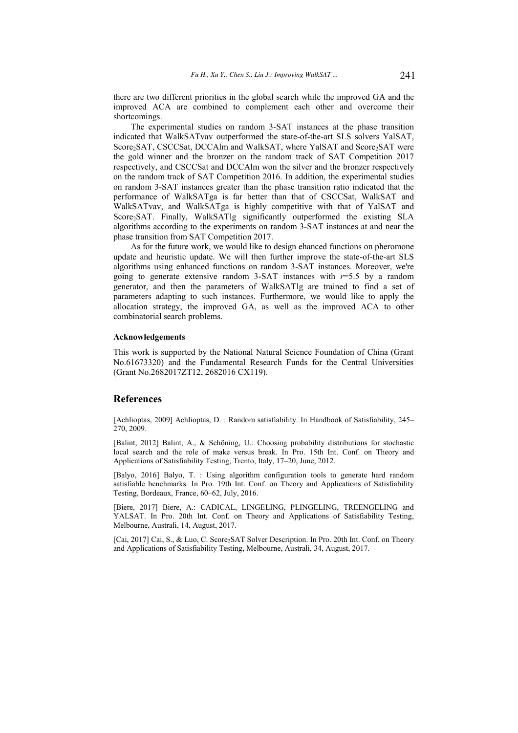there are two different priorities in the global search while the improved GA and the improved ACA are combined to complement each other and overcome their shortcomings.

The experimental studies on random 3-SAT instances at the phase transition indicated that WalkSATvav outperformed the state-of-the-art SLS solvers YalSAT, Score<sub>2</sub>SAT, CSCCSat, DCCAlm and WalkSAT, where YalSAT and Score<sub>2</sub>SAT were the gold winner and the bronzer on the random track of SAT Competition 2017 respectively, and CSCCSat and DCCAlm won the silver and the bronzer respectively on the random track of SAT Competition 2016. In addition, the experimental studies on random 3-SAT instances greater than the phase transition ratio indicated that the performance of WalkSATga is far better than that of CSCCSat, WalkSAT and WalkSATvav, and WalkSATga is highly competitive with that of YalSAT and Score<sub>2</sub>SAT. Finally, WalkSATlg significantly outperformed the existing SLA algorithms according to the experiments on random 3-SAT instances at and near the phase transition from SAT Competition 2017.

As for the future work, we would like to design ehanced functions on pheromone update and heuristic update. We will then further improve the state-of-the-art SLS algorithms using enhanced functions on random 3-SAT instances. Moreover, we're going to generate extensive random 3-SAT instances with  $r=5.5$  by a random generator, and then the parameters of WalkSATlg are trained to find a set of parameters adapting to such instances. Furthermore, we would like to apply the allocation strategy, the improved GA, as well as the improved ACA to other combinatorial search problems.

## **Acknowledgements**

This work is supported by the National Natural Science Foundation of China (Grant No.61673320) and the Fundamental Research Funds for the Central Universities (Grant No.2682017ZT12, 2682016 CX119).

## **References**

[Achlioptas, 2009] Achlioptas, D. : Random satisfiability. In Handbook of Satisfiability, 245 $-$ 270, 2009.

[Balint, 2012] Balint, A., & Schöning, U.: Choosing probability distributions for stochastic local search and the role of make versus break. In Pro. 15th Int. Conf. on Theory and Applications of Satisfiability Testing, Trento, Italy, 17-20, June, 2012.

[Balyo, 2016] Balyo, T. : Using algorithm configuration tools to generate hard random satisfiable benchmarks. In Pro. 19th Int. Conf. on Theory and Applications of Satisfiability Testing, Bordeaux, France, 60–62, July, 2016.

[Biere, 2017] Biere, A.: CADICAL, LINGELING, PLINGELING, TREENGELING and YALSAT. In Pro. 20th Int. Conf. on Theory and Applications of Satisfiability Testing, Melbourne, Australi, 14, August, 2017.

[Cai, 2017] Cai, S., & Luo, C. Score2SAT Solver Description. In Pro. 20th Int. Conf. on Theory and Applications of Satisfiability Testing, Melbourne, Australi, 34, August, 2017.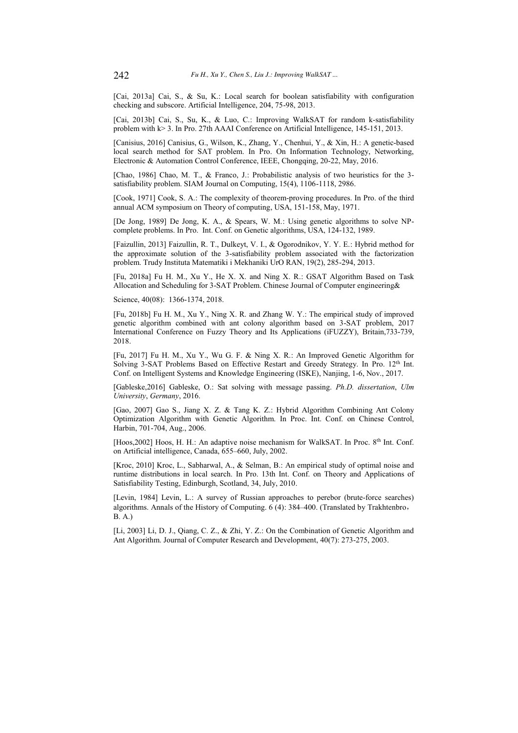[Cai, 2013a] Cai, S., & Su, K.: Local search for boolean satisfiability with configuration checking and subscore. Artificial Intelligence, 204, 75-98, 2013.

[Cai, 2013b] Cai, S., Su, K., & Luo, C.: Improving WalkSAT for random k-satisfiability problem with k> 3. In Pro. 27th AAAI Conference on Artificial Intelligence, 145-151, 2013.

[Canisius, 2016] Canisius, G., Wilson, K., Zhang, Y., Chenhui, Y., & Xin, H.: A genetic-based local search method for SAT problem. In Pro. On Information Technology, Networking, Electronic & Automation Control Conference, IEEE, Chongqing, 20-22, May, 2016.

[Chao, 1986] Chao, M. T., & Franco, J.: Probabilistic analysis of two heuristics for the 3satisfiability problem. SIAM Journal on Computing, 15(4), 1106-1118, 2986.

[Cook, 1971] Cook, S. A.: The complexity of theorem-proving procedures. In Pro. of the third annual ACM symposium on Theory of computing, USA, 151-158, May, 1971.

[De Jong, 1989] De Jong, K. A., & Spears, W. M.: Using genetic algorithms to solve NPcomplete problems. In Pro. Int. Conf. on Genetic algorithms, USA, 124-132, 1989.

[Faizullin, 2013] Faizullin, R. T., Dulkeyt, V. I., & Ogorodnikov, Y. Y. E.: Hybrid method for the approximate solution of the 3-satisfiability problem associated with the factorization problem. Trudy Instituta Matematiki i Mekhaniki UrO RAN, 19(2), 285-294, 2013.

[Fu, 2018a] Fu H. M., Xu Y., He X. X. and Ning X. R.: GSAT Algorithm Based on Task Allocation and Scheduling for 3-SAT Problem. Chinese Journal of Computer engineering&

Science, 40(08): 1366-1374, 2018.

[Fu, 2018b] Fu H. M., Xu Y., Ning X. R. and Zhang W. Y.: The empirical study of improved genetic algorithm combined with ant colony algorithm based on 3-SAT problem, 2017 International Conference on Fuzzy Theory and Its Applications (iFUZZY), Britain,733-739, 2018.

[Fu, 2017] Fu H. M., Xu Y., Wu G. F. & Ning X. R.: An Improved Genetic Algorithm for Solving 3-SAT Problems Based on Effective Restart and Greedy Strategy. In Pro. 12th Int. Conf. on Intelligent Systems and Knowledge Engineering (ISKE), Nanjing, 1-6, Nov., 2017.

[Gableske,2016] Gableske, O.: Sat solving with message passing. *Ph.D. dissertation*, *Ulm University*, *Germany*, 2016.

[Gao, 2007] Gao S., Jiang X. Z. & Tang K. Z.: Hybrid Algorithm Combining Ant Colony Optimization Algorithm with Genetic Algorithm. In Proc. Int. Conf. on Chinese Control, Harbin, 701-704, Aug., 2006.

[Hoos,2002] Hoos, H. H.: An adaptive noise mechanism for WalkSAT. In Proc. 8<sup>th</sup> Int. Conf. on Artificial intelligence, Canada, 655-660, July, 2002.

[Kroc, 2010] Kroc, L., Sabharwal, A., & Selman, B.: An empirical study of optimal noise and runtime distributions in local search. In Pro. 13th Int. Conf. on Theory and Applications of Satisfiability Testing, Edinburgh, Scotland, 34, July, 2010.

[Levin, 1984] Levin, L.: A survey of Russian approaches to perebor (brute-force searches) algorithms. Annals of the History of Computing. 6 (4): 384-400. (Translated by Trakhtenbro, B. A.)

[Li, 2003] Li, D. J., Qiang, C. Z., & Zhi, Y. Z.: On the Combination of Genetic Algorithm and Ant Algorithm. Journal of Computer Research and Development, 40(7): 273-275, 2003.